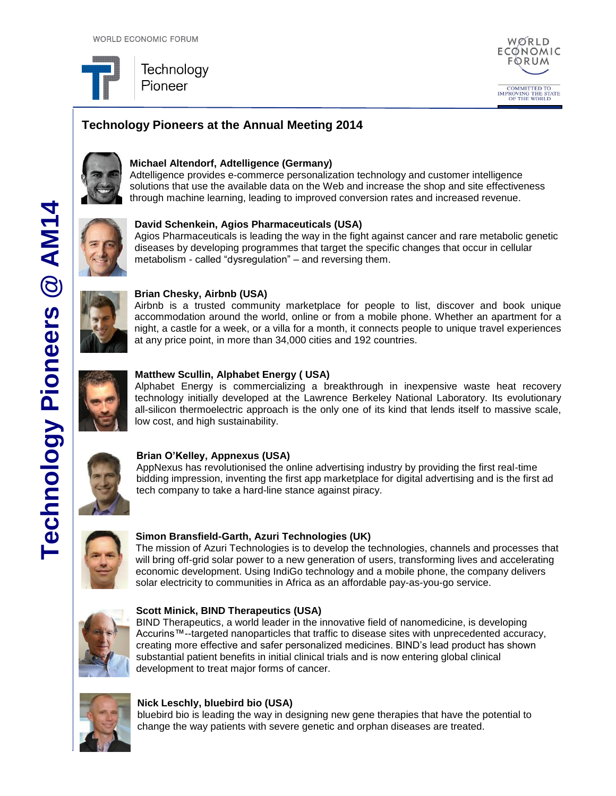

# **Technology Pioneers at the Annual Meeting 2014**



# **Michael Altendorf, Adtelligence (Germany)**

Adtelligence provides e-commerce personalization technology and customer intelligence solutions that use the available data on the Web and increase the shop and site effectiveness through machine learning, leading to improved conversion rates and increased revenue.



### **David Schenkein, Agios Pharmaceuticals (USA)**

Agios Pharmaceuticals is leading the way in the fight against cancer and rare metabolic genetic diseases by developing programmes that target the specific changes that occur in cellular metabolism - called "dysregulation" – and reversing them.



### **Brian Chesky, Airbnb (USA)**

Airbnb is a trusted community marketplace for people to list, discover and book unique accommodation around the world, online or from a mobile phone. Whether an apartment for a night, a castle for a week, or a villa for a month, it connects people to unique travel experiences at any price point, in more than 34,000 cities and 192 countries.



### **Matthew Scullin, Alphabet Energy ( USA)**

Alphabet Energy is commercializing a breakthrough in inexpensive waste heat recovery technology initially developed at the Lawrence Berkeley National Laboratory. Its evolutionary all-silicon thermoelectric approach is the only one of its kind that lends itself to massive scale, low cost, and high sustainability.



### **Brian O'Kelley, Appnexus (USA)**

AppNexus has revolutionised the online advertising industry by providing the first real-time bidding impression, inventing the first app marketplace for digital advertising and is the first ad tech company to take a hard-line stance against piracy.



### **Simon Bransfield-Garth, Azuri Technologies (UK)**

The mission of Azuri Technologies is to develop the technologies, channels and processes that will bring off-grid solar power to a new generation of users, transforming lives and accelerating economic development. Using IndiGo technology and a mobile phone, the company delivers solar electricity to communities in Africa as an affordable pay-as-you-go service.



### **Scott Minick, BIND Therapeutics (USA)**

BIND Therapeutics, a world leader in the innovative field of nanomedicine, is developing Accurins™--targeted nanoparticles that traffic to disease sites with unprecedented accuracy, creating more effective and safer personalized medicines. BIND's lead product has shown substantial patient benefits in initial clinical trials and is now entering global clinical development to treat major forms of cancer.



#### **Nick Leschly, bluebird bio (USA)**

bluebird bio is leading the way in designing new gene therapies that have the potential to change the way patients with severe genetic and orphan diseases are treated.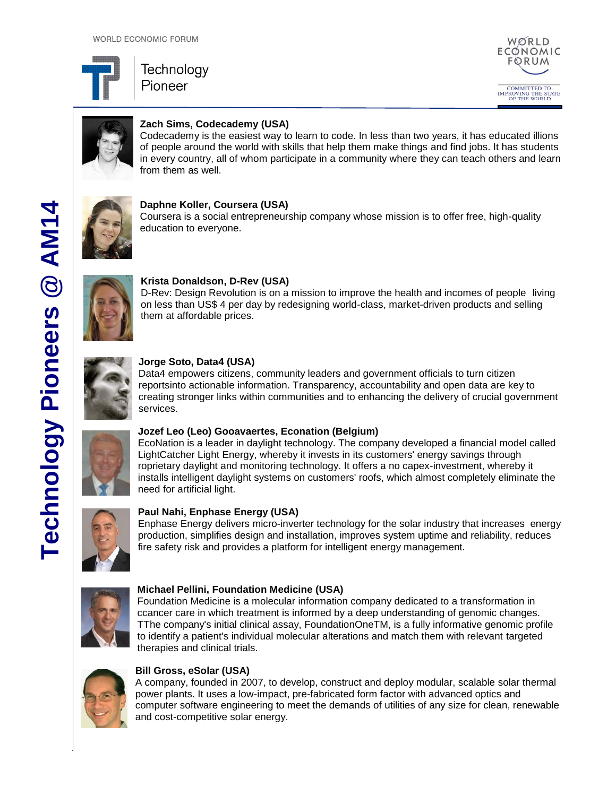





# **Zach Sims, Codecademy (USA)**

Codecademy is the easiest way to learn to code. In less than two years, it has educated illions of people around the world with skills that help them make things and find jobs. It has students in every country, all of whom participate in a community where they can teach others and learn from them as well.



**Daphne Koller, Coursera (USA)**

Coursera is a social entrepreneurship company whose mission is to offer free, high-quality education to everyone.



### **Krista Donaldson, D-Rev (USA)**

D-Rev: Design Revolution is on a mission to improve the health and incomes of people living on less than US\$ 4 per day by redesigning world-class, market-driven products and selling them at affordable prices.



### **Jorge Soto, Data4 (USA)**

Data4 empowers citizens, community leaders and government officials to turn citizen reportsinto actionable information. Transparency, accountability and open data are key to creating stronger links within communities and to enhancing the delivery of crucial government services.

### **Jozef Leo (Leo) Gooavaertes, Econation (Belgium)**

EcoNation is a leader in daylight technology. The company developed a financial model called LightCatcher Light Energy, whereby it invests in its customers' energy savings through roprietary daylight and monitoring technology. It offers a no capex-investment, whereby it installs intelligent daylight systems on customers' roofs, which almost completely eliminate the need for artificial light.



## **Paul Nahi, Enphase Energy (USA)**

Enphase Energy delivers micro-inverter technology for the solar industry that increases energy production, simplifies design and installation, improves system uptime and reliability, reduces fire safety risk and provides a platform for intelligent energy management.



### **Michael Pellini, Foundation Medicine (USA)**

Foundation Medicine is a molecular information company dedicated to a transformation in ccancer care in which treatment is informed by a deep understanding of genomic changes. TThe company's initial clinical assay, FoundationOneTM, is a fully informative genomic profile to identify a patient's individual molecular alterations and match them with relevant targeted therapies and clinical trials.



### **Bill Gross, eSolar (USA)**

A company, founded in 2007, to develop, construct and deploy modular, scalable solar thermal power plants. It uses a low-impact, pre-fabricated form factor with advanced optics and computer software engineering to meet the demands of utilities of any size for clean, renewable and cost-competitive solar energy.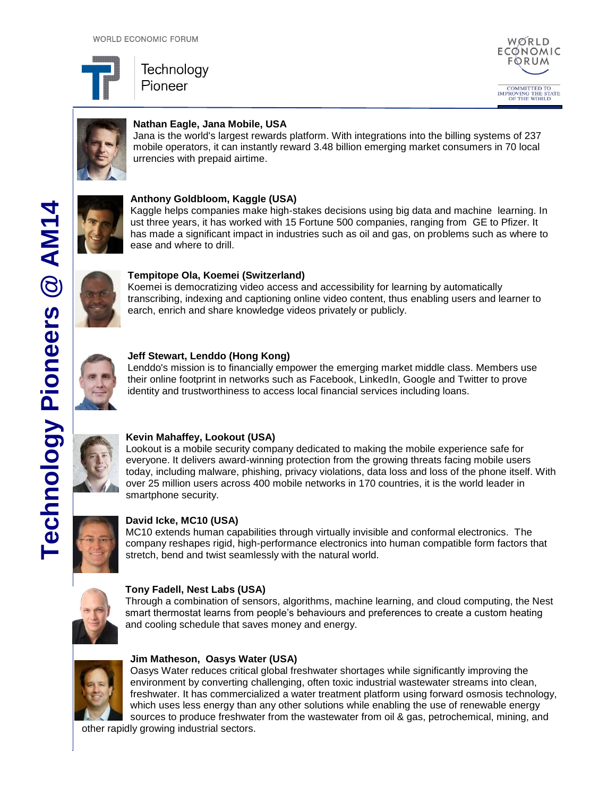





# **Nathan Eagle, Jana Mobile, USA**

Jana is the world's largest rewards platform. With integrations into the billing systems of 237 mobile operators, it can instantly reward 3.48 billion emerging market consumers in 70 local urrencies with prepaid airtime.



# **Anthony Goldbloom, Kaggle (USA)**

Kaggle helps companies make high-stakes decisions using big data and machine learning. In ust three years, it has worked with 15 Fortune 500 companies, ranging from GE to Pfizer. It has made a significant impact in industries such as oil and gas, on problems such as where to ease and where to drill.

# **Tempitope Ola, Koemei (Switzerland)**

Koemei is democratizing video access and accessibility for learning by automatically transcribing, indexing and captioning online video content, thus enabling users and learner to earch, enrich and share knowledge videos privately or publicly.



## **Jeff Stewart, Lenddo (Hong Kong)**

Lenddo's mission is to financially empower the emerging market middle class. Members use their online footprint in networks such as Facebook, LinkedIn, Google and Twitter to prove identity and trustworthiness to access local financial services including loans.



# **Kevin Mahaffey, Lookout (USA)**

Lookout is a mobile security company dedicated to making the mobile experience safe for everyone. It delivers award-winning protection from the growing threats facing mobile users today, including malware, phishing, privacy violations, data loss and loss of the phone itself. With over 25 million users across 400 mobile networks in 170 countries, it is the world leader in smartphone security.



# **David Icke, MC10 (USA)**

MC10 extends human capabilities through virtually invisible and conformal electronics. The company reshapes rigid, high-performance electronics into human compatible form factors that stretch, bend and twist seamlessly with the natural world.



## **Tony Fadell, Nest Labs (USA)**

Through a combination of sensors, algorithms, machine learning, and cloud computing, the Nest smart thermostat learns from people's behaviours and preferences to create a custom heating and cooling schedule that saves money and energy.



## **Jim Matheson, Oasys Water (USA)**

Oasys Water reduces critical global freshwater shortages while significantly improving the environment by converting challenging, often toxic industrial wastewater streams into clean, freshwater. It has commercialized a water treatment platform using forward osmosis technology, which uses less energy than any other solutions while enabling the use of renewable energy sources to produce freshwater from the wastewater from oil & gas, petrochemical, mining, and

other rapidly growing industrial sectors.